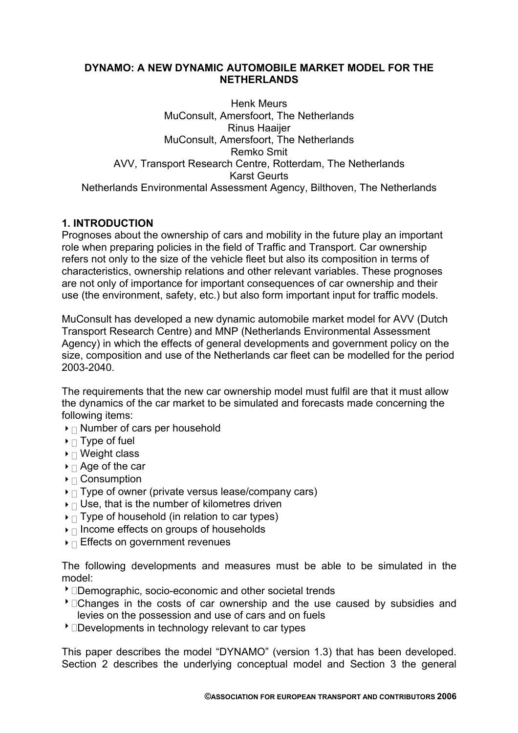## **DYNAMO: A NEW DYNAMIC AUTOMOBILE MARKET MODEL FOR THE NETHERLANDS**

Henk Meurs MuConsult, Amersfoort, The Netherlands Rinus Haaijer MuConsult, Amersfoort, The Netherlands Remko Smit AVV, Transport Research Centre, Rotterdam, The Netherlands Karst Geurts Netherlands Environmental Assessment Agency, Bilthoven, The Netherlands

# **1. INTRODUCTION**

Prognoses about the ownership of cars and mobility in the future play an important role when preparing policies in the field of Traffic and Transport. Car ownership refers not only to the size of the vehicle fleet but also its composition in terms of characteristics, ownership relations and other relevant variables. These prognoses are not only of importance for important consequences of car ownership and their use (the environment, safety, etc.) but also form important input for traffic models.

MuConsult has developed a new dynamic automobile market model for AVV (Dutch Transport Research Centre) and MNP (Netherlands Environmental Assessment Agency) in which the effects of general developments and government policy on the size, composition and use of the Netherlands car fleet can be modelled for the period 2003-2040.

The requirements that the new car ownership model must fulfil are that it must allow the dynamics of the car market to be simulated and forecasts made concerning the following items:

- $\blacktriangleright$   $\sqcap$  Number of cars per household
- $\blacktriangleright$   $\sqcap$  Type of fuel
- $\triangleright$   $\sqcap$  Weight class
- $\triangleright$   $\sqcap$  Age of the car
- $\blacktriangleright$   $\sqcap$  Consumption
- $\triangleright$   $\sqcap$  Type of owner (private versus lease/company cars)
- $\triangleright$   $\sqcap$  Use, that is the number of kilometres driven
- $\triangleright$  Type of household (in relation to car types)
- $\triangleright$   $\sqcap$  Income effects on groups of households
- $\triangleright$   $\sqcap$  Effects on government revenues

The following developments and measures must be able to be simulated in the model:

- **Demographic, socio-economic and other societal trends**
- **Changes in the costs of car ownership and the use caused by subsidies and** levies on the possession and use of cars and on fuels
- $\overline{\ }$  Developments in technology relevant to car types

This paper describes the model "DYNAMO" (version 1.3) that has been developed. Section 2 describes the underlying conceptual model and Section 3 the general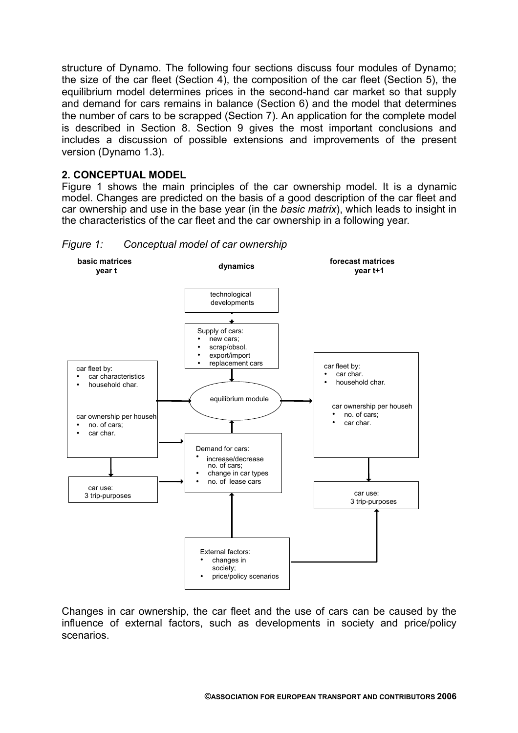structure of Dynamo. The following four sections discuss four modules of Dynamo; the size of the car fleet (Section 4), the composition of the car fleet (Section 5), the equilibrium model determines prices in the second-hand car market so that supply and demand for cars remains in balance (Section 6) and the model that determines the number of cars to be scrapped (Section 7). An application for the complete model is described in Section 8. Section 9 gives the most important conclusions and includes a discussion of possible extensions and improvements of the present version (Dynamo 1.3).

## **2. CONCEPTUAL MODEL**

Figure 1 shows the main principles of the car ownership model. It is a dynamic model. Changes are predicted on the basis of a good description of the car fleet and car ownership and use in the base year (in the *basic matrix*), which leads to insight in the characteristics of the car fleet and the car ownership in a following year.





Changes in car ownership, the car fleet and the use of cars can be caused by the influence of external factors, such as developments in society and price/policy scenarios.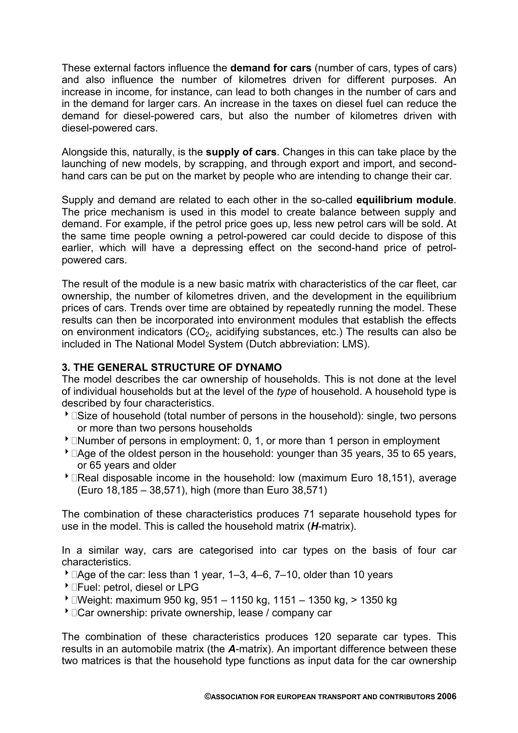These external factors influence the **demand for cars** (number of cars, types of cars) and also influence the number of kilometres driven for different purposes. An increase in income, for instance, can lead to both changes in the number of cars and in the demand for larger cars. An increase in the taxes on diesel fuel can reduce the demand for diesel-powered cars, but also the number of kilometres driven with diesel-powered cars.

Alongside this, naturally, is the **supply of cars**. Changes in this can take place by the launching of new models, by scrapping, and through export and import, and secondhand cars can be put on the market by people who are intending to change their car.

Supply and demand are related to each other in the so-called **equilibrium module**. The price mechanism is used in this model to create balance between supply and demand. For example, if the petrol price goes up, less new petrol cars will be sold. At the same time people owning a petrol-powered car could decide to dispose of this earlier, which will have a depressing effect on the second-hand price of petrolpowered cars.

The result of the module is a new basic matrix with characteristics of the car fleet, car ownership, the number of kilometres driven, and the development in the equilibrium prices of cars. Trends over time are obtained by repeatedly running the model. These results can then be incorporated into environment modules that establish the effects on environment indicators  $(CO<sub>2</sub>)$ , acidifying substances, etc.) The results can also be included in The National Model System (Dutch abbreviation: LMS).

## **3. THE GENERAL STRUCTURE OF DYNAMO**

The model describes the car ownership of households. This is not done at the level of individual households but at the level of the *type* of household. A household type is described by four characteristics.

- **Size of household (total number of persons in the household): single, two persons** or more than two persons households
- $\triangle$   $\Box$  Number of persons in employment: 0, 1, or more than 1 person in employment
- $\blacktriangleright$   $\Box$  Age of the oldest person in the household: younger than 35 years, 35 to 65 years, or 65 years and older
- **BEAL Disposable income in the household: low (maximum Euro 18,151), average** (Euro 18,185 – 38,571), high (more than Euro 38,571)

The combination of these characteristics produces 71 separate household types for use in the model. This is called the household matrix (*H*-matrix).

In a similar way, cars are categorised into car types on the basis of four car characteristics.

- $\overline{\phantom{a}}$   $\Box$  Age of the car: less than 1 year, 1–3, 4–6, 7–10, older than 10 years
- **DEAD:** petrol, diesel or LPG
- 8Weight: maximum 950 kg, 951 1150 kg, 1151 1350 kg, > 1350 kg
- **Car ownership: private ownership, lease / company car >**

The combination of these characteristics produces 120 separate car types. This results in an automobile matrix (the *A*-matrix). An important difference between these two matrices is that the household type functions as input data for the car ownership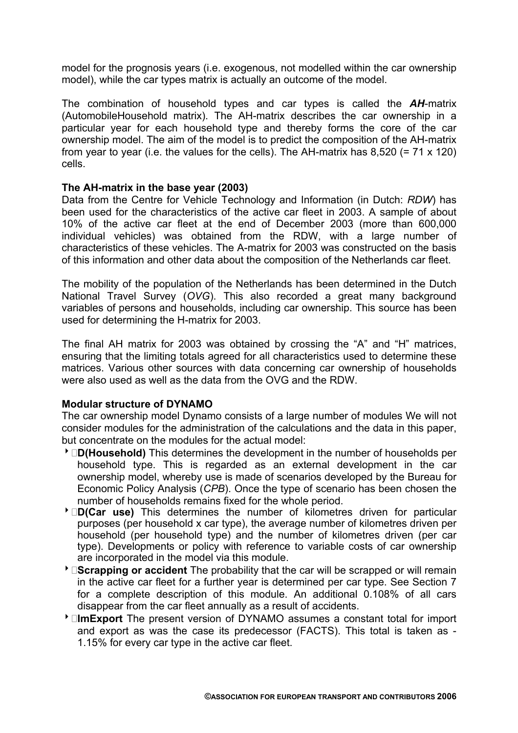model for the prognosis years (i.e. exogenous, not modelled within the car ownership model), while the car types matrix is actually an outcome of the model.

The combination of household types and car types is called the *AH*-matrix (AutomobileHousehold matrix). The AH-matrix describes the car ownership in a particular year for each household type and thereby forms the core of the car ownership model. The aim of the model is to predict the composition of the AH-matrix from year to year (i.e. the values for the cells). The AH-matrix has  $8,520$  (= 71 x 120) cells.

### **The AH-matrix in the base year (2003)**

Data from the Centre for Vehicle Technology and Information (in Dutch: *RDW*) has been used for the characteristics of the active car fleet in 2003. A sample of about 10% of the active car fleet at the end of December 2003 (more than 600,000 individual vehicles) was obtained from the RDW, with a large number of characteristics of these vehicles. The A-matrix for 2003 was constructed on the basis of this information and other data about the composition of the Netherlands car fleet.

The mobility of the population of the Netherlands has been determined in the Dutch National Travel Survey (*OVG*). This also recorded a great many background variables of persons and households, including car ownership. This source has been used for determining the H-matrix for 2003.

The final AH matrix for 2003 was obtained by crossing the "A" and "H" matrices, ensuring that the limiting totals agreed for all characteristics used to determine these matrices. Various other sources with data concerning car ownership of households were also used as well as the data from the OVG and the RDW.

## **Modular structure of DYNAMO**

The car ownership model Dynamo consists of a large number of modules We will not consider modules for the administration of the calculations and the data in this paper, but concentrate on the modules for the actual model:

- 8**D(Household)** This determines the development in the number of households per household type. This is regarded as an external development in the car ownership model, whereby use is made of scenarios developed by the Bureau for Economic Policy Analysis (*CPB*). Once the type of scenario has been chosen the number of households remains fixed for the whole period.
- 8**D(Car use)** This determines the number of kilometres driven for particular purposes (per household x car type), the average number of kilometres driven per household (per household type) and the number of kilometres driven (per car type). Developments or policy with reference to variable costs of car ownership are incorporated in the model via this module.
- 8**Scrapping or accident** The probability that the car will be scrapped or will remain in the active car fleet for a further year is determined per car type. See Section 7 for a complete description of this module. An additional 0.108% of all cars disappear from the car fleet annually as a result of accidents.
- 8**ImExport** The present version of DYNAMO assumes a constant total for import and export as was the case its predecessor (FACTS). This total is taken as - 1.15% for every car type in the active car fleet.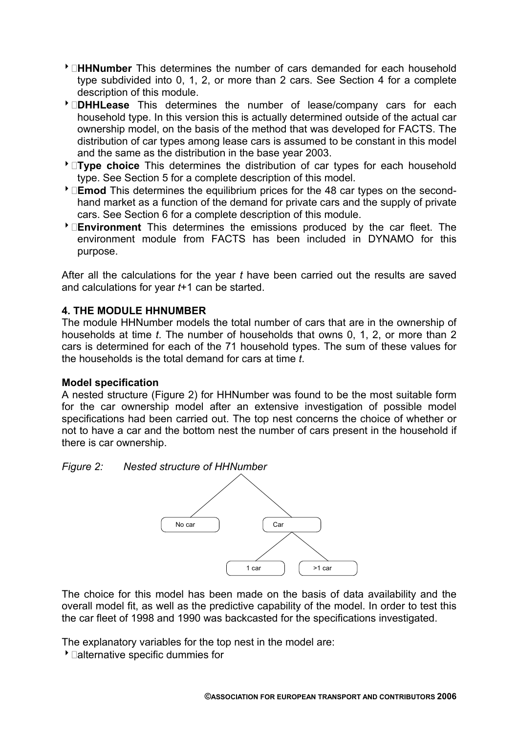- 8**HHNumber** This determines the number of cars demanded for each household type subdivided into 0, 1, 2, or more than 2 cars. See Section 4 for a complete description of this module.
- 8**DHHLease** This determines the number of lease/company cars for each household type. In this version this is actually determined outside of the actual car ownership model, on the basis of the method that was developed for FACTS. The distribution of car types among lease cars is assumed to be constant in this model and the same as the distribution in the base year 2003.
- 8**Type choice** This determines the distribution of car types for each household type. See Section 5 for a complete description of this model.
- 8**Emod** This determines the equilibrium prices for the 48 car types on the secondhand market as a function of the demand for private cars and the supply of private cars. See Section 6 for a complete description of this module.
- 8**Environment** This determines the emissions produced by the car fleet. The environment module from FACTS has been included in DYNAMO for this purpose.

After all the calculations for the year *t* have been carried out the results are saved and calculations for year *t*+1 can be started.

## **4. THE MODULE HHNUMBER**

The module HHNumber models the total number of cars that are in the ownership of households at time *t*. The number of households that owns 0, 1, 2, or more than 2 cars is determined for each of the 71 household types. The sum of these values for the households is the total demand for cars at time *t*.

## **Model specification**

A nested structure (Figure 2) for HHNumber was found to be the most suitable form for the car ownership model after an extensive investigation of possible model specifications had been carried out. The top nest concerns the choice of whether or not to have a car and the bottom nest the number of cars present in the household if there is car ownership.

## *Figure 2: Nested structure of HHNumber*



The choice for this model has been made on the basis of data availability and the overall model fit, as well as the predictive capability of the model. In order to test this the car fleet of 1998 and 1990 was backcasted for the specifications investigated.

The explanatory variables for the top nest in the model are:

 $\overline{\phantom{a}}$  alternative specific dummies for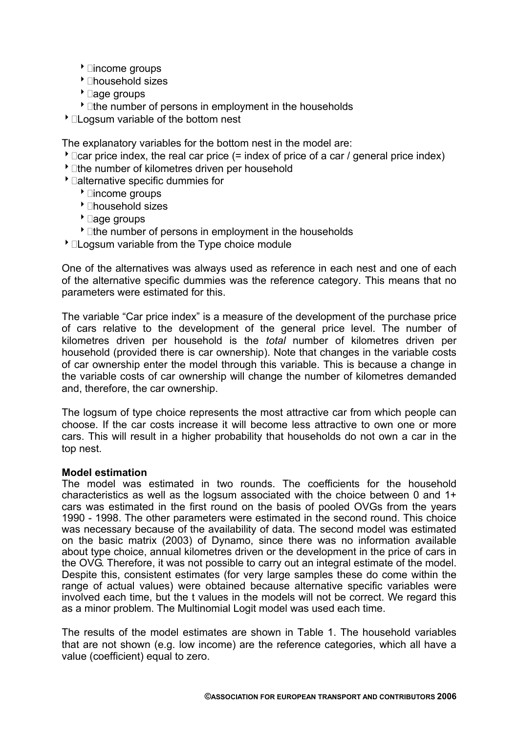- $\overline{\phantom{a}}$  lincome groups
- $\overline{\phantom{a}}$  lhousehold sizes
- $\overline{\phantom{a}}$  age groups
- $\cdot$   $\Box$  the number of persons in employment in the households
- $\overline{\phantom{a}}$  Logsum variable of the bottom nest

The explanatory variables for the bottom nest in the model are:

- $\bullet$   $\Box$  car price index, the real car price (= index of price of a car / general price index)
- $\cdot$   $\Box$ the number of kilometres driven per household
- $\blacktriangleright$   $\sqcap$  alternative specific dummies for
	- $\overline{\phantom{a}}$  lincome groups
	- $\blacktriangleright$  Thousehold sizes
	- $\overline{\phantom{a}}$  age groups
	- $\cdot$  The number of persons in employment in the households
- $\overline{\phantom{a}}$   $\overline{\phantom{a}}$   $\overline{\phantom{a}}$   $\overline{\phantom{a}}$  ariable from the Type choice module

One of the alternatives was always used as reference in each nest and one of each of the alternative specific dummies was the reference category. This means that no parameters were estimated for this.

The variable "Car price index" is a measure of the development of the purchase price of cars relative to the development of the general price level. The number of kilometres driven per household is the *total* number of kilometres driven per household (provided there is car ownership). Note that changes in the variable costs of car ownership enter the model through this variable. This is because a change in the variable costs of car ownership will change the number of kilometres demanded and, therefore, the car ownership.

The logsum of type choice represents the most attractive car from which people can choose. If the car costs increase it will become less attractive to own one or more cars. This will result in a higher probability that households do not own a car in the top nest.

## **Model estimation**

The model was estimated in two rounds. The coefficients for the household characteristics as well as the logsum associated with the choice between 0 and 1+ cars was estimated in the first round on the basis of pooled OVGs from the years 1990 - 1998. The other parameters were estimated in the second round. This choice was necessary because of the availability of data. The second model was estimated on the basic matrix (2003) of Dynamo, since there was no information available about type choice, annual kilometres driven or the development in the price of cars in the OVG. Therefore, it was not possible to carry out an integral estimate of the model. Despite this, consistent estimates (for very large samples these do come within the range of actual values) were obtained because alternative specific variables were involved each time, but the t values in the models will not be correct. We regard this as a minor problem. The Multinomial Logit model was used each time.

The results of the model estimates are shown in Table 1. The household variables that are not shown (e.g. low income) are the reference categories, which all have a value (coefficient) equal to zero.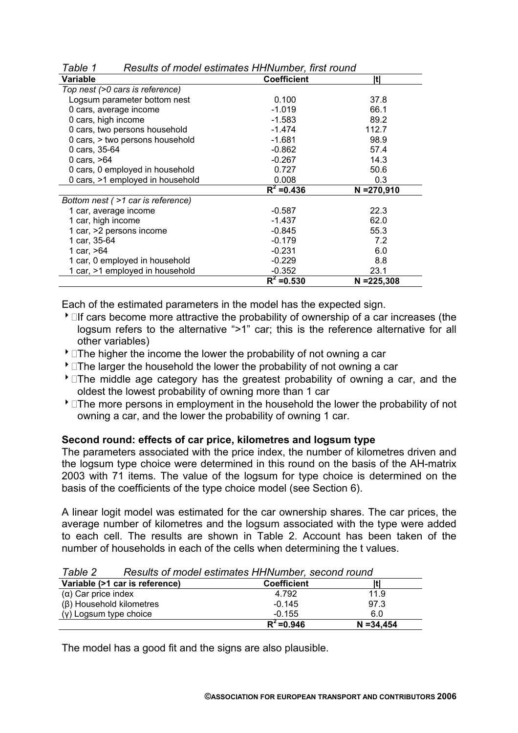| , uviv                            |                    |               |  |  |
|-----------------------------------|--------------------|---------------|--|--|
| Variable                          | <b>Coefficient</b> | Itl           |  |  |
| Top nest (>0 cars is reference)   |                    |               |  |  |
| Logsum parameter bottom nest      | 0.100              | 37.8          |  |  |
| 0 cars, average income            | $-1.019$           | 66.1          |  |  |
| 0 cars, high income               | $-1.583$           | 89.2          |  |  |
| 0 cars, two persons household     | $-1.474$           | 112.7         |  |  |
| 0 cars, > two persons household   | $-1.681$           | 98.9          |  |  |
| 0 cars, 35-64                     | $-0.862$           | 57.4          |  |  |
| 0 cars, $>64$                     | $-0.267$           | 14.3          |  |  |
| 0 cars, 0 employed in household   | 0.727              | 50.6          |  |  |
| 0 cars, >1 employed in household  | 0.008              | 0.3           |  |  |
|                                   | $R^2 = 0.436$      | $N = 270,910$ |  |  |
| Bottom nest (>1 car is reference) |                    |               |  |  |
| 1 car, average income             | $-0.587$           | 22.3          |  |  |
| 1 car, high income                | $-1.437$           | 62.0          |  |  |
| 1 car, >2 persons income          | $-0.845$           | 55.3          |  |  |
| 1 car, 35-64                      | $-0.179$           | 7.2           |  |  |
| 1 car, >64                        | $-0.231$           | 6.0           |  |  |
| 1 car, 0 employed in household    | $-0.229$           | 8.8           |  |  |
| 1 car, >1 employed in household   | $-0.352$           | 23.1          |  |  |
|                                   | $R^2 = 0.530$      | $N = 225,308$ |  |  |

*Table 1 Results of model estimates HHNumber, first round* 

Each of the estimated parameters in the model has the expected sign.

- If cars become more attractive the probability of ownership of a car increases (the logsum refers to the alternative ">1" car; this is the reference alternative for all other variables)
- $\cdot$  The higher the income the lower the probability of not owning a car
- $\overline{\ }$   $\Box$  The larger the household the lower the probability of not owning a car
- $\overline{\ }$   $\Box$  The middle age category has the greatest probability of owning a car, and the oldest the lowest probability of owning more than 1 car
- $\overline{\ }$   $\Box$  The more persons in employment in the household the lower the probability of not owning a car, and the lower the probability of owning 1 car.

#### **Second round: effects of car price, kilometres and logsum type**

The parameters associated with the price index, the number of kilometres driven and the logsum type choice were determined in this round on the basis of the AH-matrix 2003 with 71 items. The value of the logsum for type choice is determined on the basis of the coefficients of the type choice model (see Section 6).

A linear logit model was estimated for the car ownership shares. The car prices, the average number of kilometres and the logsum associated with the type were added to each cell. The results are shown in Table 2. Account has been taken of the number of households in each of the cells when determining the t values.

Variable (>1 car is reference) **Coefficient** |t| (α) Car price index  $\overline{4.792}$  11.9 (β) Household kilometres -0.145 97.3  $(y)$  Logsum type choice  $-0.155$  6.0  $R^2 = 0.946$  **N** =34,454

*Table 2 Results of model estimates HHNumber, second round*

The model has a good fit and the signs are also plausible.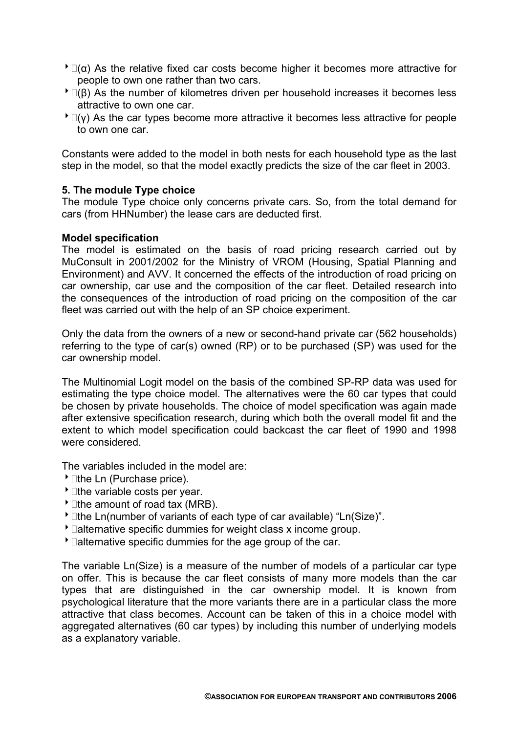- $\triangle$   $\Box$ ( $\alpha$ ) As the relative fixed car costs become higher it becomes more attractive for people to own one rather than two cars.
- $\triangle$   $\Box$ (β) As the number of kilometres driven per household increases it becomes less attractive to own one car.
- $\overline{P}$   $\Box$ (y) As the car types become more attractive it becomes less attractive for people to own one car.

Constants were added to the model in both nests for each household type as the last step in the model, so that the model exactly predicts the size of the car fleet in 2003.

## **5. The module Type choice**

The module Type choice only concerns private cars. So, from the total demand for cars (from HHNumber) the lease cars are deducted first.

#### **Model specification**

The model is estimated on the basis of road pricing research carried out by MuConsult in 2001/2002 for the Ministry of VROM (Housing, Spatial Planning and Environment) and AVV. It concerned the effects of the introduction of road pricing on car ownership, car use and the composition of the car fleet. Detailed research into the consequences of the introduction of road pricing on the composition of the car fleet was carried out with the help of an SP choice experiment.

Only the data from the owners of a new or second-hand private car (562 households) referring to the type of car(s) owned (RP) or to be purchased (SP) was used for the car ownership model.

The Multinomial Logit model on the basis of the combined SP-RP data was used for estimating the type choice model. The alternatives were the 60 car types that could be chosen by private households. The choice of model specification was again made after extensive specification research, during which both the overall model fit and the extent to which model specification could backcast the car fleet of 1990 and 1998 were considered.

The variables included in the model are:

- $\overline{\phantom{a}}$  1the Ln (Purchase price).
- $\blacktriangleright$  lihe variable costs per year.
- $\cdot$  lthe amount of road tax (MRB).
- <sup>t</sup>  $\Box$  the Ln(number of variants of each type of car available) "Ln(Size)".
- $\overline{\ }$  Dalternative specific dummies for weight class x income group.
- $\bullet$   $\Box$ alternative specific dummies for the age group of the car.

The variable Ln(Size) is a measure of the number of models of a particular car type on offer. This is because the car fleet consists of many more models than the car types that are distinguished in the car ownership model. It is known from psychological literature that the more variants there are in a particular class the more attractive that class becomes. Account can be taken of this in a choice model with aggregated alternatives (60 car types) by including this number of underlying models as a explanatory variable.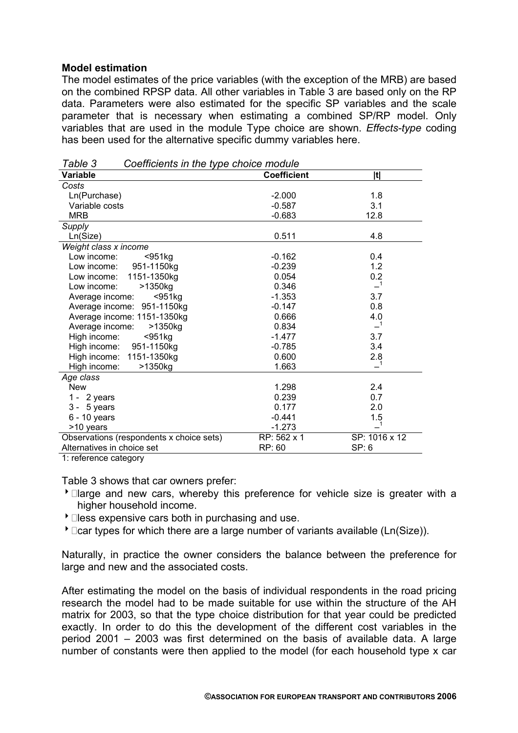### **Model estimation**

The model estimates of the price variables (with the exception of the MRB) are based on the combined RPSP data. All other variables in Table 3 are based only on the RP data. Parameters were also estimated for the specific SP variables and the scale parameter that is necessary when estimating a combined SP/RP model. Only variables that are used in the module Type choice are shown. *Effects-type* coding has been used for the alternative specific dummy variables here.

| , uwio o<br>$\frac{1}{2}$                |                    |               |
|------------------------------------------|--------------------|---------------|
| Variable                                 | <b>Coefficient</b> | t             |
| Costs                                    |                    |               |
| Ln(Purchase)                             | $-2.000$           | 1.8           |
| Variable costs                           | $-0.587$           | 3.1           |
| <b>MRB</b>                               | $-0.683$           | 12.8          |
| Supply                                   |                    |               |
| Ln(Size)                                 | 0.511              | 4.8           |
| Weight class x income                    |                    |               |
| Low income:<br>$951kg$                   | $-0.162$           | 0.4           |
| Low income: 951-1150kg                   | $-0.239$           | 1.2           |
| Low income: 1151-1350kg                  | 0.054              | 0.2           |
| >1350kg<br>Low income:                   | 0.346              | -1            |
| $951kg$<br>Average income:               | $-1.353$           | 3.7           |
| Average income: 951-1150kg               | $-0.147$           | 0.8           |
| Average income: 1151-1350kg              | 0.666              | 4.0           |
| Average income:<br>>1350kg               | 0.834              |               |
| High income:<br>$951kg$                  | $-1.477$           | 3.7           |
| High income:<br>951-1150kg               | $-0.785$           | 3.4           |
| High income: 1151-1350kg                 | 0.600              | 2.8           |
| >1350kg<br>High income:                  | 1.663              |               |
| Age class                                |                    |               |
| <b>New</b>                               | 1.298              | 2.4           |
| $1 - 2$ years                            | 0.239              | 0.7           |
| $3 - 5$ years                            | 0.177              | 2.0           |
| $6 - 10$ years                           | $-0.441$           | 1.5           |
| >10 years                                | $-1.273$           |               |
| Observations (respondents x choice sets) | RP: 562 x 1        | SP: 1016 x 12 |
| Alternatives in choice set               | RP: 60             | SP: 6         |
| $1.$ roforonoo ootonomi                  |                    |               |

*Table 3 Coefficients in the type choice module* 

1: reference category

Table 3 shows that car owners prefer:

- $\overline{\phantom{a}}$  and new cars, whereby this preference for vehicle size is greater with a higher household income.
- $\triangle$   $\Box$  less expensive cars both in purchasing and use.
- $\overline{\ }$   $\Box$  Car types for which there are a large number of variants available (Ln(Size)).

Naturally, in practice the owner considers the balance between the preference for large and new and the associated costs.

After estimating the model on the basis of individual respondents in the road pricing research the model had to be made suitable for use within the structure of the AH matrix for 2003, so that the type choice distribution for that year could be predicted exactly. In order to do this the development of the different cost variables in the period 2001 – 2003 was first determined on the basis of available data. A large number of constants were then applied to the model (for each household type x car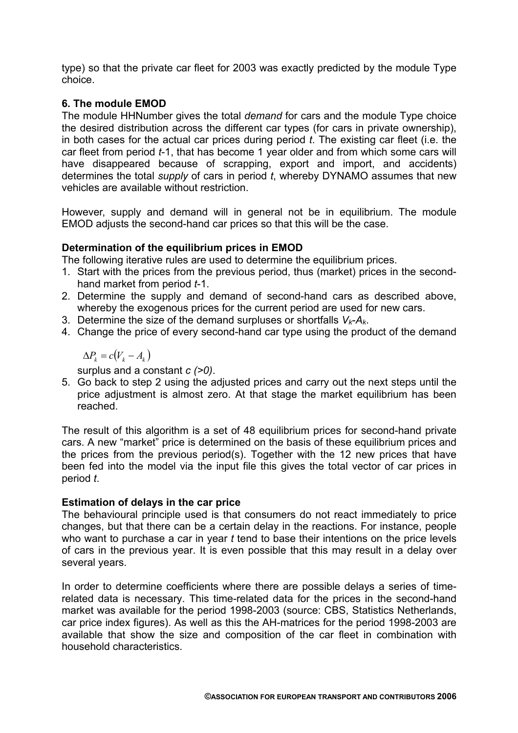type) so that the private car fleet for 2003 was exactly predicted by the module Type choice.

# **6. The module EMOD**

The module HHNumber gives the total *demand* for cars and the module Type choice the desired distribution across the different car types (for cars in private ownership), in both cases for the actual car prices during period *t*. The existing car fleet (i.e. the car fleet from period *t*-1, that has become 1 year older and from which some cars will have disappeared because of scrapping, export and import, and accidents) determines the total *supply* of cars in period *t*, whereby DYNAMO assumes that new vehicles are available without restriction.

However, supply and demand will in general not be in equilibrium. The module EMOD adjusts the second-hand car prices so that this will be the case.

## **Determination of the equilibrium prices in EMOD**

The following iterative rules are used to determine the equilibrium prices.

- 1. Start with the prices from the previous period, thus (market) prices in the secondhand market from period *t*-1.
- 2. Determine the supply and demand of second-hand cars as described above, whereby the exogenous prices for the current period are used for new cars.
- 3. Determine the size of the demand surpluses or shortfalls *Vk*-*Ak*.
- 4. Change the price of every second-hand car type using the product of the demand

 $\Delta P_k = c(V_k - A_k)$ 

surplus and a constant *c (>0)*.

5. Go back to step 2 using the adjusted prices and carry out the next steps until the price adjustment is almost zero. At that stage the market equilibrium has been reached.

The result of this algorithm is a set of 48 equilibrium prices for second-hand private cars. A new "market" price is determined on the basis of these equilibrium prices and the prices from the previous period(s). Together with the 12 new prices that have been fed into the model via the input file this gives the total vector of car prices in period *t*.

## **Estimation of delays in the car price**

The behavioural principle used is that consumers do not react immediately to price changes, but that there can be a certain delay in the reactions. For instance, people who want to purchase a car in year *t* tend to base their intentions on the price levels of cars in the previous year. It is even possible that this may result in a delay over several years.

In order to determine coefficients where there are possible delays a series of timerelated data is necessary. This time-related data for the prices in the second-hand market was available for the period 1998-2003 (source: CBS, Statistics Netherlands, car price index figures). As well as this the AH-matrices for the period 1998-2003 are available that show the size and composition of the car fleet in combination with household characteristics.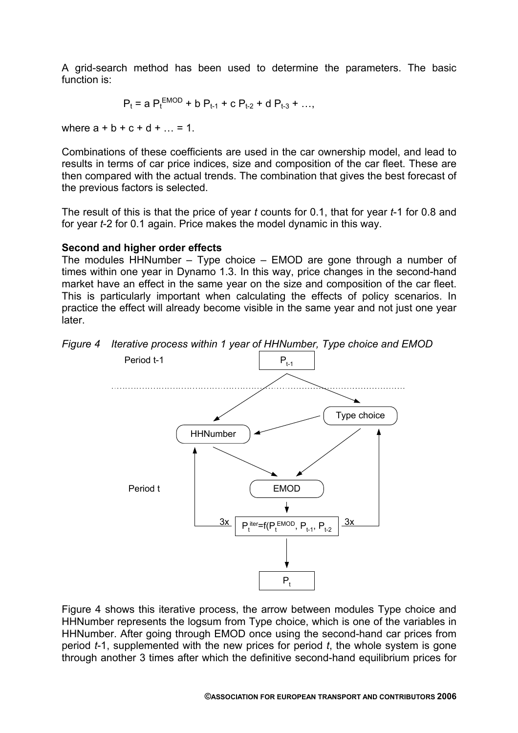A grid-search method has been used to determine the parameters. The basic function is:

$$
P_t = a P_t^{EMOD} + b P_{t-1} + c P_{t-2} + d P_{t-3} + ...,
$$

where  $a + b + c + d + ... = 1$ .

Combinations of these coefficients are used in the car ownership model, and lead to results in terms of car price indices, size and composition of the car fleet. These are then compared with the actual trends. The combination that gives the best forecast of the previous factors is selected.

The result of this is that the price of year *t* counts for 0.1, that for year *t*-1 for 0.8 and for year *t*-2 for 0.1 again. Price makes the model dynamic in this way.

## **Second and higher order effects**

The modules HHNumber – Type choice – EMOD are gone through a number of times within one year in Dynamo 1.3. In this way, price changes in the second-hand market have an effect in the same year on the size and composition of the car fleet. This is particularly important when calculating the effects of policy scenarios. In practice the effect will already become visible in the same year and not just one year later.





Figure 4 shows this iterative process, the arrow between modules Type choice and HHNumber represents the logsum from Type choice, which is one of the variables in HHNumber. After going through EMOD once using the second-hand car prices from period *t*-1, supplemented with the new prices for period *t*, the whole system is gone through another 3 times after which the definitive second-hand equilibrium prices for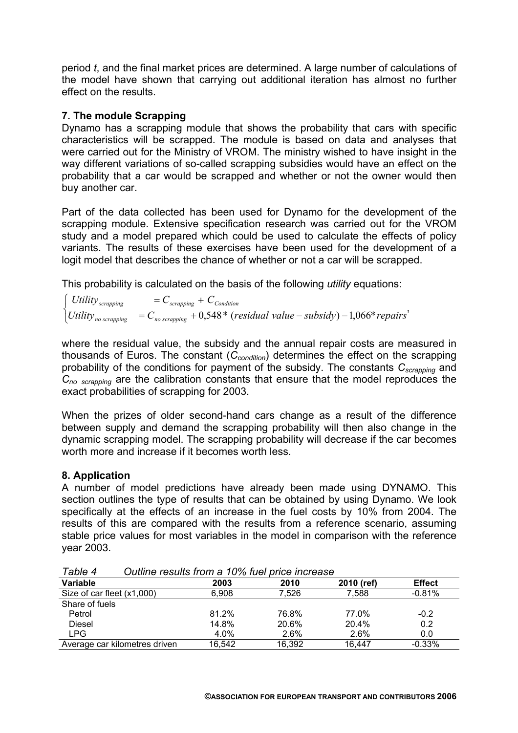period *t*, and the final market prices are determined. A large number of calculations of the model have shown that carrying out additional iteration has almost no further effect on the results.

## **7. The module Scrapping**

Dynamo has a scrapping module that shows the probability that cars with specific characteristics will be scrapped. The module is based on data and analyses that were carried out for the Ministry of VROM. The ministry wished to have insight in the way different variations of so-called scrapping subsidies would have an effect on the probability that a car would be scrapped and whether or not the owner would then buy another car.

Part of the data collected has been used for Dynamo for the development of the scrapping module. Extensive specification research was carried out for the VROM study and a model prepared which could be used to calculate the effects of policy variants. The results of these exercises have been used for the development of a logit model that describes the chance of whether or not a car will be scrapped.

This probability is calculated on the basis of the following *utility* equations:

 $\left\{ \begin{array}{l l}\nUtility_{no\,\textit{scrapping}} & = C_{no\,\textit{scrapping}} + 0,548 * (residual\,\textit{value} - \textit{subsidy}) - 1,066 * \textit{repairs}'\n\end{array} \right\}$  $\left( \text{Utility}_{scrapping} \right) = C_{scrapping} + C_{Condition}$ 

where the residual value, the subsidy and the annual repair costs are measured in thousands of Euros. The constant (*Ccondition*) determines the effect on the scrapping probability of the conditions for payment of the subsidy. The constants *Cscrapping* and *Cno scrapping* are the calibration constants that ensure that the model reproduces the exact probabilities of scrapping for 2003.

When the prizes of older second-hand cars change as a result of the difference between supply and demand the scrapping probability will then also change in the dynamic scrapping model. The scrapping probability will decrease if the car becomes worth more and increase if it becomes worth less.

## **8. Application**

A number of model predictions have already been made using DYNAMO. This section outlines the type of results that can be obtained by using Dynamo. We look specifically at the effects of an increase in the fuel costs by 10% from 2004. The results of this are compared with the results from a reference scenario, assuming stable price values for most variables in the model in comparison with the reference year 2003.

| ד טוטוס ו<br><u>Udimic results from a TU70 fuer brice mercase</u> |         |        |            |               |  |
|-------------------------------------------------------------------|---------|--------|------------|---------------|--|
| Variable                                                          | 2003    | 2010   | 2010 (ref) | <b>Effect</b> |  |
| Size of car fleet (x1,000)                                        | 6,908   | 7.526  | 7,588      | $-0.81%$      |  |
| Share of fuels                                                    |         |        |            |               |  |
| Petrol                                                            | 81.2%   | 76.8%  | 77.0%      | $-0.2$        |  |
| <b>Diesel</b>                                                     | 14.8%   | 20.6%  | 20.4%      | 0.2           |  |
| LPG                                                               | $4.0\%$ | 2.6%   | $2.6\%$    | 0.0           |  |
| Average car kilometres driven                                     | 16,542  | 16,392 | 16.447     | $-0.33%$      |  |

*Table 4 Outline results from a 10% fuel price increase*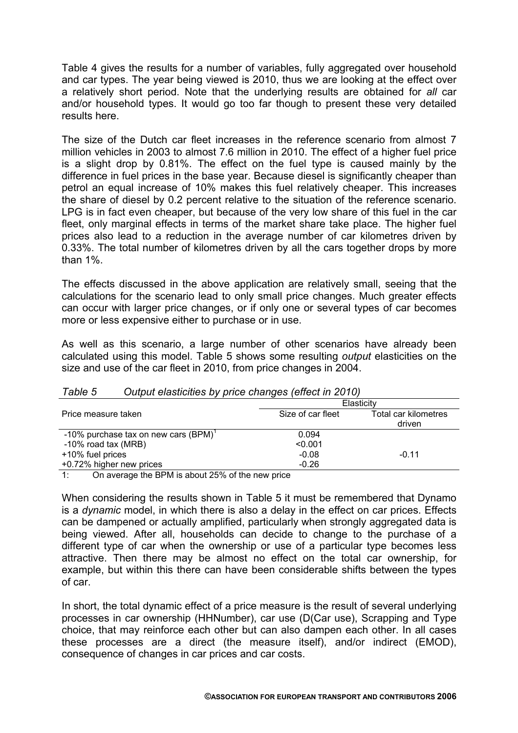Table 4 gives the results for a number of variables, fully aggregated over household and car types. The year being viewed is 2010, thus we are looking at the effect over a relatively short period. Note that the underlying results are obtained for *all* car and/or household types. It would go too far though to present these very detailed results here.

The size of the Dutch car fleet increases in the reference scenario from almost 7 million vehicles in 2003 to almost 7.6 million in 2010. The effect of a higher fuel price is a slight drop by 0.81%. The effect on the fuel type is caused mainly by the difference in fuel prices in the base year. Because diesel is significantly cheaper than petrol an equal increase of 10% makes this fuel relatively cheaper. This increases the share of diesel by 0.2 percent relative to the situation of the reference scenario. LPG is in fact even cheaper, but because of the very low share of this fuel in the car fleet, only marginal effects in terms of the market share take place. The higher fuel prices also lead to a reduction in the average number of car kilometres driven by 0.33%. The total number of kilometres driven by all the cars together drops by more than 1%.

The effects discussed in the above application are relatively small, seeing that the calculations for the scenario lead to only small price changes. Much greater effects can occur with larger price changes, or if only one or several types of car becomes more or less expensive either to purchase or in use.

As well as this scenario, a large number of other scenarios have already been calculated using this model. Table 5 shows some resulting *output* elasticities on the size and use of the car fleet in 2010, from price changes in 2004.

| , uviv v<br><u>Udipat clasifolites by price changes fenced in Z010,</u> |                   |                      |  |  |
|-------------------------------------------------------------------------|-------------------|----------------------|--|--|
|                                                                         | Elasticity        |                      |  |  |
| Price measure taken                                                     | Size of car fleet | Total car kilometres |  |  |
|                                                                         |                   | driven               |  |  |
| -10% purchase tax on new cars (BPM)'                                    | 0.094             |                      |  |  |
| $-10\%$ road tax (MRB)                                                  | < 0.001           |                      |  |  |
| +10% fuel prices                                                        | $-0.08$           | $-0.11$              |  |  |
| +0.72% higher new prices                                                | $-0.26$           |                      |  |  |
|                                                                         |                   |                      |  |  |

# *Table 5 Output elasticities by price changes (effect in 2010)*

1: On average the BPM is about 25% of the new price

When considering the results shown in Table 5 it must be remembered that Dynamo is a *dynamic* model, in which there is also a delay in the effect on car prices. Effects can be dampened or actually amplified, particularly when strongly aggregated data is being viewed. After all, households can decide to change to the purchase of a different type of car when the ownership or use of a particular type becomes less attractive. Then there may be almost no effect on the total car ownership, for example, but within this there can have been considerable shifts between the types of car.

In short, the total dynamic effect of a price measure is the result of several underlying processes in car ownership (HHNumber), car use (D(Car use), Scrapping and Type choice, that may reinforce each other but can also dampen each other. In all cases these processes are a direct (the measure itself), and/or indirect (EMOD), consequence of changes in car prices and car costs.